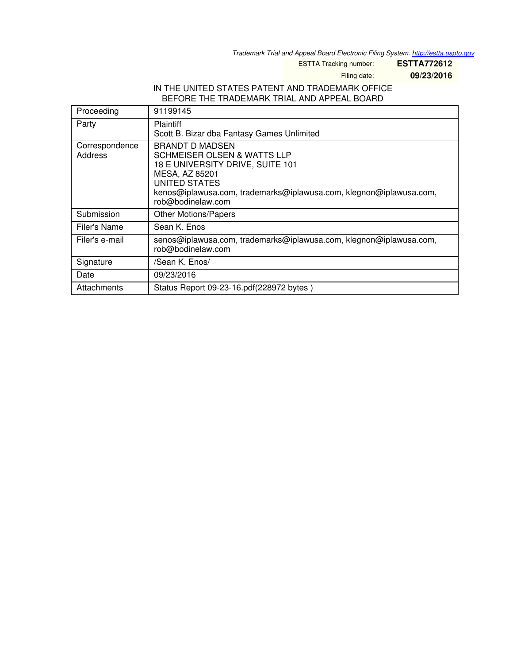*Trademark Trial and Appeal Board Electronic Filing System. <http://estta.uspto.gov>*

ESTTA Tracking number: **ESTTA772612**

Filing date: **09/23/2016**

#### IN THE UNITED STATES PATENT AND TRADEMARK OFFICE BEFORE THE TRADEMARK TRIAL AND APPEAL BOARD

| Proceeding                | 91199145                                                                                                                                                                                                                                  |
|---------------------------|-------------------------------------------------------------------------------------------------------------------------------------------------------------------------------------------------------------------------------------------|
| Party                     | <b>Plaintiff</b><br>Scott B. Bizar dba Fantasy Games Unlimited                                                                                                                                                                            |
| Correspondence<br>Address | <b>BRANDT D MADSEN</b><br><b>SCHMEISER OLSEN &amp; WATTS LLP</b><br>18 E UNIVERSITY DRIVE, SUITE 101<br>MESA, AZ 85201<br><b>UNITED STATES</b><br>kenos@iplawusa.com, trademarks@iplawusa.com, klegnon@iplawusa.com,<br>rob@bodinelaw.com |
| Submission                | <b>Other Motions/Papers</b>                                                                                                                                                                                                               |
| Filer's Name              | Sean K. Enos                                                                                                                                                                                                                              |
| Filer's e-mail            | senos@iplawusa.com, trademarks@iplawusa.com, klegnon@iplawusa.com,<br>rob@bodinelaw.com                                                                                                                                                   |
| Signature                 | /Sean K. Enos/                                                                                                                                                                                                                            |
| Date                      | 09/23/2016                                                                                                                                                                                                                                |
| Attachments               | Status Report 09-23-16.pdf(228972 bytes)                                                                                                                                                                                                  |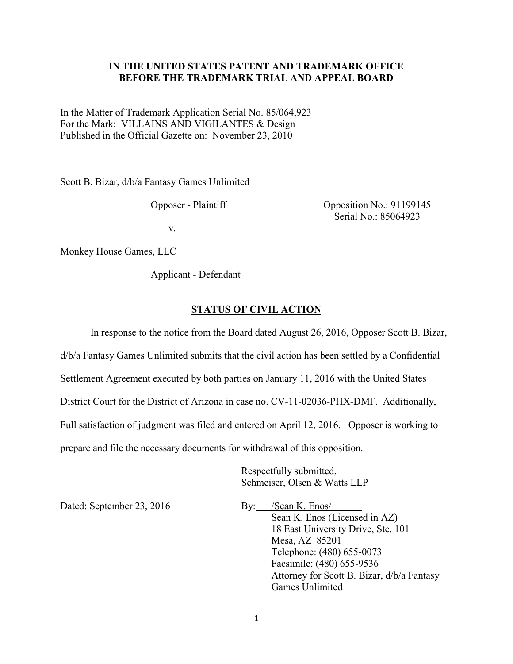### **IN THE UNITED STATES PATENT AND TRADEMARK OFFICE BEFORE THE TRADEMARK TRIAL AND APPEAL BOARD**

In the Matter of Trademark Application Serial No. 85/064,923 For the Mark: VILLAINS AND VIGILANTES & Design Published in the Official Gazette on: November 23, 2010

Scott B. Bizar, d/b/a Fantasy Games Unlimited

Opposer - Plaintiff

v.

Monkey House Games, LLC

Applicant - Defendant

Opposition No.: 91199145 Serial No.: 85064923

#### **STATUS OF CIVIL ACTION**

In response to the notice from the Board dated August 26, 2016, Opposer Scott B. Bizar, d/b/a Fantasy Games Unlimited submits that the civil action has been settled by a Confidential Settlement Agreement executed by both parties on January 11, 2016 with the United States District Court for the District of Arizona in case no. CV-11-02036-PHX-DMF. Additionally, Full satisfaction of judgment was filed and entered on April 12, 2016. Opposer is working to prepare and file the necessary documents for withdrawal of this opposition.

> Respectfully submitted, Schmeiser, Olsen & Watts LLP

Dated: September 23, 2016 By: /Sean K. Enos/

 Sean K. Enos (Licensed in AZ) 18 East University Drive, Ste. 101 Mesa, AZ 85201 Telephone: (480) 655-0073 Facsimile: (480) 655-9536 Attorney for Scott B. Bizar, d/b/a Fantasy Games Unlimited